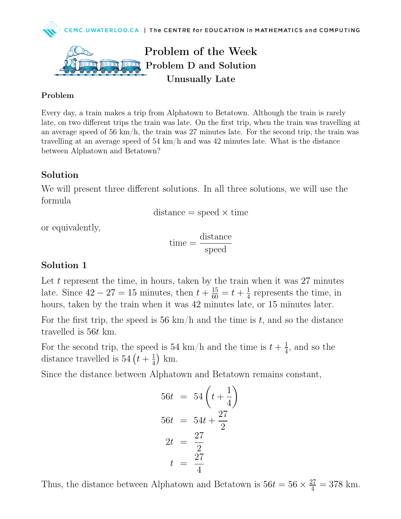

## Problem of the Week Problem D and Solution Unusually Late

#### Problem

Every day, a train makes a trip from Alphatown to Betatown. Although the train is rarely late, on two different trips the train was late. On the first trip, when the train was travelling at an average speed of 56 km/h, the train was 27 minutes late. For the second trip, the train was travelling at an average speed of  $54 \text{ km/h}$  and was  $42 \text{ minutes}$  late. What is the distance between Alphatown and Betatown?

#### Solution

We will present three different solutions. In all three solutions, we will use the formula

$$
distance = speed \times time
$$

or equivalently,

$$
time = \frac{distance}{speed}
$$

#### Solution 1

Let t represent the time, in hours, taken by the train when it was  $27$  minutes late. Since  $42 - 27 = 15$  minutes, then  $t + \frac{15}{60} = t + \frac{1}{4}$  $\frac{1}{4}$  represents the time, in hours, taken by the train when it was 42 minutes late, or 15 minutes later.

For the first trip, the speed is 56 km/h and the time is t, and so the distance travelled is 56t km.

For the second trip, the speed is 54 km/h and the time is  $t + \frac{1}{4}$  $\frac{1}{4}$ , and so the distance travelled is 54  $(t + \frac{1}{4})$  $\frac{1}{4}$ ) km.

Since the distance between Alphatown and Betatown remains constant,

$$
56t = 54\left(t + \frac{1}{4}\right)
$$

$$
56t = 54t + \frac{27}{2}
$$

$$
2t = \frac{27}{2}
$$

$$
t = \frac{27}{4}
$$

Thus, the distance between Alphatown and Betatown is  $56t = 56 \times \frac{27}{4} = 378$  km.